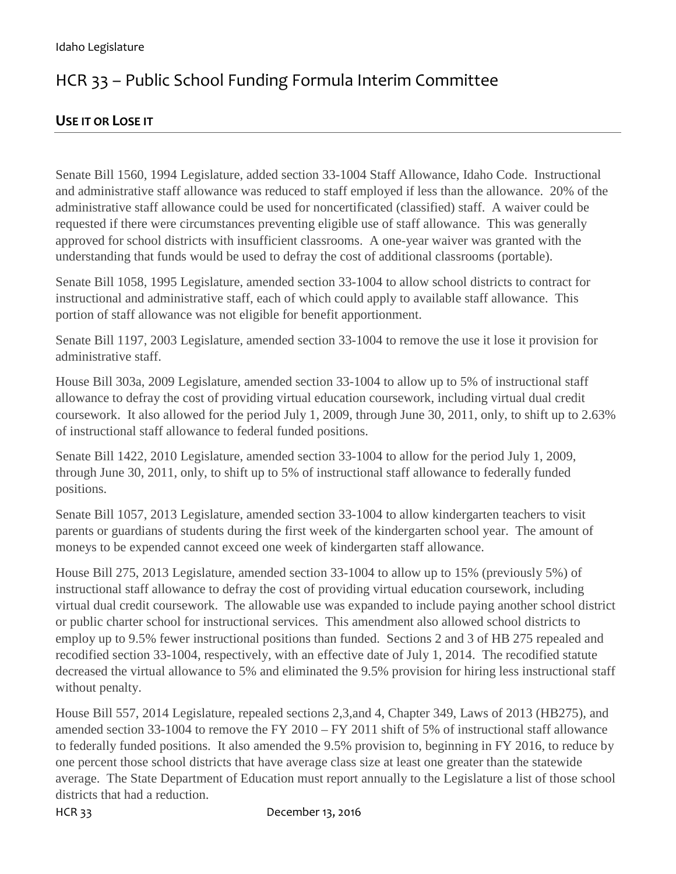## HCR 33 – Public School Funding Formula Interim Committee

## **USE IT OR LOSE IT**

Senate Bill 1560, 1994 Legislature, added section 33-1004 Staff Allowance, Idaho Code. Instructional and administrative staff allowance was reduced to staff employed if less than the allowance. 20% of the administrative staff allowance could be used for noncertificated (classified) staff. A waiver could be requested if there were circumstances preventing eligible use of staff allowance. This was generally approved for school districts with insufficient classrooms. A one-year waiver was granted with the understanding that funds would be used to defray the cost of additional classrooms (portable).

Senate Bill 1058, 1995 Legislature, amended section 33-1004 to allow school districts to contract for instructional and administrative staff, each of which could apply to available staff allowance. This portion of staff allowance was not eligible for benefit apportionment.

Senate Bill 1197, 2003 Legislature, amended section 33-1004 to remove the use it lose it provision for administrative staff.

House Bill 303a, 2009 Legislature, amended section 33-1004 to allow up to 5% of instructional staff allowance to defray the cost of providing virtual education coursework, including virtual dual credit coursework. It also allowed for the period July 1, 2009, through June 30, 2011, only, to shift up to 2.63% of instructional staff allowance to federal funded positions.

Senate Bill 1422, 2010 Legislature, amended section 33-1004 to allow for the period July 1, 2009, through June 30, 2011, only, to shift up to 5% of instructional staff allowance to federally funded positions.

Senate Bill 1057, 2013 Legislature, amended section 33-1004 to allow kindergarten teachers to visit parents or guardians of students during the first week of the kindergarten school year. The amount of moneys to be expended cannot exceed one week of kindergarten staff allowance.

House Bill 275, 2013 Legislature, amended section 33-1004 to allow up to 15% (previously 5%) of instructional staff allowance to defray the cost of providing virtual education coursework, including virtual dual credit coursework. The allowable use was expanded to include paying another school district or public charter school for instructional services. This amendment also allowed school districts to employ up to 9.5% fewer instructional positions than funded. Sections 2 and 3 of HB 275 repealed and recodified section 33-1004, respectively, with an effective date of July 1, 2014. The recodified statute decreased the virtual allowance to 5% and eliminated the 9.5% provision for hiring less instructional staff without penalty.

House Bill 557, 2014 Legislature, repealed sections 2,3,and 4, Chapter 349, Laws of 2013 (HB275), and amended section 33-1004 to remove the FY 2010 – FY 2011 shift of 5% of instructional staff allowance to federally funded positions. It also amended the 9.5% provision to, beginning in FY 2016, to reduce by one percent those school districts that have average class size at least one greater than the statewide average. The State Department of Education must report annually to the Legislature a list of those school districts that had a reduction.